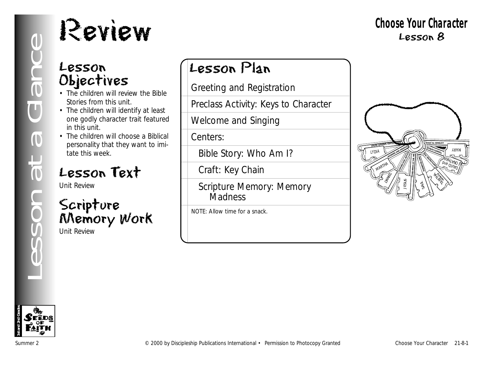### **Choose Your Character** Lesson 8

# Lesson Objectives

- The children will review the Bible Stories from this unit.
- The children will identify at least one godly character trait featured in this unit.
- The children will choose a Biblical personality that they want to imitate this week.

Lesson Text

Unit Review

# Scripture Memory Work

Unit Review

# Lesson Plan

Greeting and Registration

Preclass Activity: Keys to Character

Welcome and Singing

Centers:

Bible Story: Who Am I?

Craft: Key Chain

Scripture Memory: Memory **Madness** 

NOTE: Allow time for a snack.



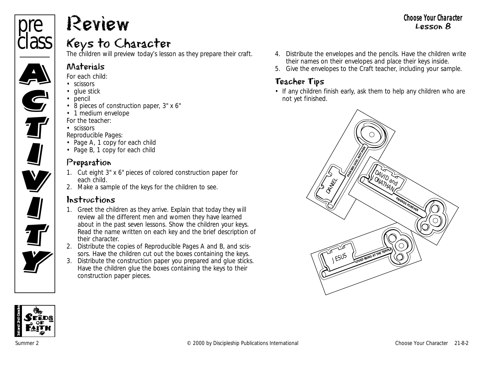

# Keys to Character

The children will preview today's lesson as they prepare their craft.

#### Materials

*For each child:*

- scissors
- glue stick
- pencil
- 8 pieces of construction paper, 3" x 6"
- 1 medium envelope
- *For the teacher:*
- scissors

*Reproducible Pages:*

- Page A, 1 copy for each child
- Page B, 1 copy for each child

### Preparation

- 1. Cut eight 3" x 6" pieces of colored construction paper for each child.
- 2. Make a sample of the keys for the children to see.

### Instructions

- 1. Greet the children as they arrive. Explain that today they will review all the different men and women they have learned about in the past seven lessons. Show the children your keys. Read the name written on each key and the brief description of their character.
- 2. Distribute the copies of Reproducible Pages A and B, and scissors. Have the children cut out the boxes containing the keys.
- 3. Distribute the construction paper you prepared and glue sticks. Have the children glue the boxes containing the keys to their construction paper pieces.
- 4. Distribute the envelopes and the pencils. Have the children write their names on their envelopes and place their keys inside.
- 5. Give the envelopes to the Craft teacher, including your sample.

### Teacher Tips

• If any children finish early, ask them to help any children who are not yet finished.



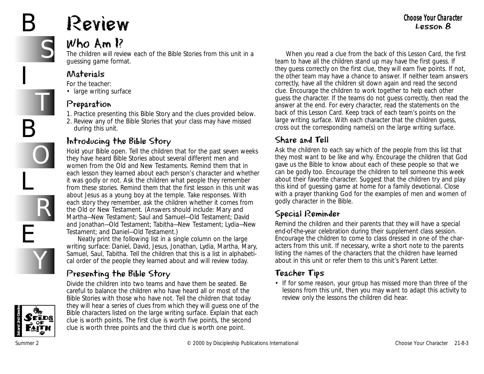# B

I

B

L

E

S

T

O

R

Y

# Review

### Who Am I?

The children will review each of the Bible Stories from this unit in a guessing game format.

### Materials

*For the teacher:*

• large writing surface

### Preparation

- 1. Practice presenting this Bible Story and the clues provided below.
- 2. Review any of the Bible Stories that your class may have missed during this unit.

### Introducing the Bible Story

Hold your Bible open. Tell the children that for the past seven weeks they have heard Bible Stories about several different men and women from the Old and New Testaments. Remind them that in each lesson they learned about each person's character and whether it was godly or not. Ask the children what people they remember from these stories. Remind them that the first lesson in this unit was about Jesus as a young boy at the temple. Take responses. With each story they remember, ask the children whether it comes from the Old or New Testament. (Answers should include: Mary and Martha—New Testament; Saul and Samuel—Old Testament; David and Jonathan—Old Testament; Tabitha—New Testament; Lydia—New Testament; and Daniel—Old Testament.)

Neatly print the following list in a single column on the large writing surface: Daniel, David, Jesus, Jonathan, Lydia, Martha, Mary, Samuel, Saul, Tabitha. Tell the children that this is a list in alphabetical order of the people they learned about and will review today.

### Presenting the Bible Story

Divide the children into two teams and have them be seated. Be careful to balance the children who have heard all or most of the Bible Stories with those who have not. Tell the children that today they will hear a series of clues from which they will guess one of the Bible characters listed on the large writing surface. Explain that each clue is worth points. The first clue is worth five points, the second clue is worth three points and the third clue is worth one point.

When you read a clue from the back of this Lesson Card, the first team to have all the children stand up may have the first guess. If they guess correctly on the first clue, they will earn five points. If not, the other team may have a chance to answer. If neither team answers correctly, have all the children sit down again and read the second clue. Encourage the children to work together to help each other guess the character. If the teams do not guess correctly, then read the answer at the end. For every character, read the statements on the back of this Lesson Card. Keep track of each team's points on the large writing surface. With each character that the children guess, cross out the corresponding name(s) on the large writing surface.

### Share and Tell

Ask the children to each say which of the people from this list that they most want to be like and why. Encourage the children that God gave us the Bible to know about each of these people so that we can be godly too. Encourage the children to tell someone this week about their favorite character. Suggest that the children try and play this kind of guessing game at home for a family devotional. Close with a prayer thanking God for the examples of men and women of godly character in the Bible.

### Special Reminder

Remind the children and their parents that they will have a special end-of-the-year celebration during their supplement class session. Encourage the children to come to class dressed in one of the characters from this unit. If necessary, write a short note to the parents listing the names of the characters that the children have learned about in this unit or refer them to this unit's Parent Letter.

### Teacher Tips

• If for some reason, your group has missed more than three of the lessons from this unit, then you may want to adapt this activity to review only the lessons the children did hear.

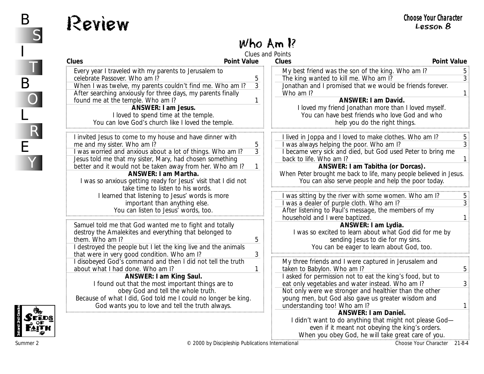

### Who Am I?

|          | <b>Point Value</b><br><b>Clues</b>                                                                                                  | Clues and Points | Clues<br><b>Point Value</b>                                                                                                               |                |
|----------|-------------------------------------------------------------------------------------------------------------------------------------|------------------|-------------------------------------------------------------------------------------------------------------------------------------------|----------------|
|          | Every year I traveled with my parents to Jerusalem to                                                                               |                  | My best friend was the son of the king. Who am I?                                                                                         | . ქ            |
|          | celebrate Passover. Who am I?                                                                                                       | 5                | The king wanted to kill me. Who am I?                                                                                                     | $\overline{3}$ |
|          | When I was twelve, my parents couldn't find me. Who am I?<br>After searching anxiously for three days, my parents finally           | 3                | Jonathan and I promised that we would be friends forever.<br>Who am I?                                                                    |                |
|          | found me at the temple. Who am I?<br><b>ANSWER: I am Jesus.</b><br>I loved to spend time at the temple.                             |                  | ANSWER: I am David.<br>I loved my friend Jonathan more than I loved myself.<br>You can have best friends who love God and who             |                |
|          | You can love God's church like I loved the temple.                                                                                  |                  | help you do the right things.                                                                                                             |                |
|          | I invited Jesus to come to my house and have dinner with                                                                            |                  | I lived in Joppa and I loved to make clothes. Who am I?                                                                                   |                |
|          | me and my sister. Who am I?                                                                                                         | 5                | I was always helping the poor. Who am I?                                                                                                  |                |
|          | I was worried and anxious about a lot of things. Who am I?<br>Jesus told me that my sister, Mary, had chosen something              | 3                | I became very sick and died, but God used Peter to bring me<br>back to life. Who am I?                                                    |                |
|          | better and it would not be taken away from her. Who am I?                                                                           |                  | ANSWER: I am Tabitha (or Dorcas).                                                                                                         |                |
|          | ANSWER: I am Martha.                                                                                                                |                  | When Peter brought me back to life, many people believed in Jesus.                                                                        |                |
|          | I was so anxious getting ready for Jesus' visit that I did not<br>take time to listen to his words.                                 |                  | You can also serve people and help the poor today.                                                                                        |                |
|          | I learned that listening to Jesus' words is more                                                                                    |                  | I was sitting by the river with some women. Who am I?                                                                                     |                |
|          | important than anything else.                                                                                                       |                  | I was a dealer of purple cloth. Who am I?                                                                                                 | $\overline{3}$ |
|          | You can listen to Jesus' words, too.                                                                                                |                  | After listening to Paul's message, the members of my<br>household and I were baptized.                                                    |                |
|          | Samuel told me that God wanted me to fight and totally<br>destroy the Amalekites and everything that belonged to<br>them. Who am I? | 5                | ANSWER: I am Lydia.<br>I was so excited to learn about what God did for me by<br>sending Jesus to die for my sins.                        |                |
|          | I destroyed the people but I let the king live and the animals<br>that were in very good condition. Who am I?                       | 3                | You can be eager to learn about God, too.                                                                                                 |                |
|          | I disobeyed God's command and then I did not tell the truth<br>about what I had done. Who am I?                                     |                  | My three friends and I were captured in Jerusalem and<br>taken to Babylon. Who am I?                                                      | 5:             |
|          | <b>ANSWER: I am King Saul.</b><br>I found out that the most important things are to                                                 |                  | I asked for permission not to eat the king's food, but to<br>eat only vegetables and water instead. Who am I?                             | 3:             |
|          | obey God and tell the whole truth.                                                                                                  |                  | Not only were we stronger and healthier than the other                                                                                    |                |
|          | Because of what I did, God told me I could no longer be king.                                                                       |                  | young men, but God also gave us greater wisdom and                                                                                        |                |
|          | God wants you to love and tell the truth always.                                                                                    |                  | understanding too! Who am I?                                                                                                              |                |
| FEDS     |                                                                                                                                     |                  | <b>ANSWER: I am Daniel.</b><br>I didn't want to do anything that might not please God-<br>even if it meant not obeying the king's orders. |                |
|          |                                                                                                                                     |                  | When you obey God, he will take great care of you.                                                                                        |                |
| Summer 2 | © 2000 by Discipleship Publications International                                                                                   |                  | Choose Your Character                                                                                                                     | 21-8-4         |

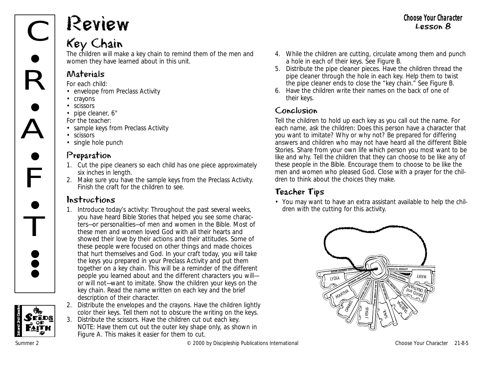#### **Choose Your Character** Lesson 8



# Review

## Key Chain

The children will make a key chain to remind them of the men and women they have learned about in this unit.

### Materials

*For each child:*

- envelope from Preclass Activity
- crayons
- scissors • pipe cleaner, 6"

*For the teacher:*

- sample keys from Preclass Activity
- scissors
- single hole punch

### Preparation

- 1. Cut the pipe cleaners so each child has one piece approximately six inches in length.
- 2. Make sure you have the sample keys from the Preclass Activity. Finish the craft for the children to see.

### Instructions

- 1. Introduce today's activity: *Throughout the past several weeks, you have heard Bible Stories that helped you see some characters—or personalities—of men and women in the Bible. Most of these men and women loved God with all their hearts and showed their love by their actions and their attitudes. Some of these people were focused on other things and made choices that hurt themselves and God. In your craft today, you will take the keys you prepared in your Preclass Activity and put them together on a key chain. This will be a reminder of the different people you learned about and the different characters you will or will not—want to imitate.* Show the children your keys on the key chain. Read the name written on each key and the brief description of their character.
- **1st and 2nd Grades**
- 2. Distribute the envelopes and the crayons. Have the children lightly color their keys. Tell them not to obscure the writing on the keys.
- 3. Distribute the scissors. Have the children cut out each key. NOTE: Have them cut out the outer key shape only, as shown in Figure A. This makes it easier for them to cut.
- 4. While the children are cutting, circulate among them and punch a hole in each of their keys. See Figure B.
- 5. Distribute the pipe cleaner pieces. Have the children thread the pipe cleaner through the hole in each key. Help them to twist the pipe cleaner ends to close the "key chain." See Figure B.
- 6. Have the children write their names on the back of one of their keys.

### Conclusion

Tell the children to hold up each key as you call out the name. For each name, ask the children: *Does this person have a character that you want to imitate? Why or why not?* Be prepared for differing answers and children who may not have heard all the different Bible Stories. Share from your own life which person you most want to be like and why. Tell the children that they can choose to be like any of these people in the Bible. Encourage them to choose to be like the men and women who pleased God. Close with a prayer for the children to think about the choices they make.

### Teacher Tips

• You may want to have an extra assistant available to help the children with the cutting for this activity.

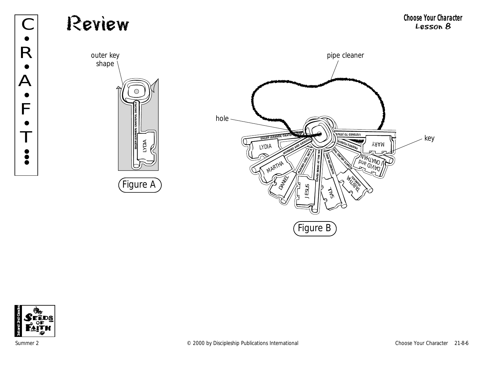

### Review **C** Choose Your Character<br> **C** Choose Your Character<br>
Lesson 8

LYDIA **EAGER LEARNER; GRATEFUL DISCIPLE** Figure A outer key shape



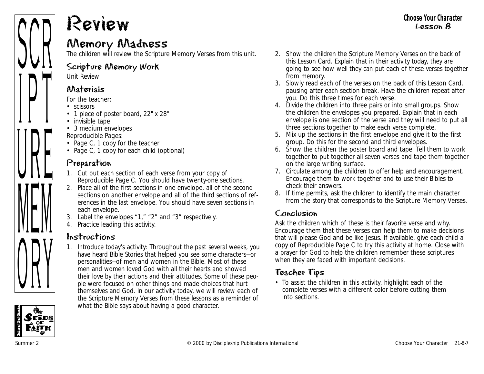

### Memory Madness

The children will review the Scripture Memory Verses from this unit.

### Scripture Memory Work

Unit Review

### Materials

*For the teacher:*

- scissors
- 1 piece of poster board, 22" x 28"
- invisible tape
- 3 medium envelopes

*Reproducible Pages:*

- Page C, 1 copy for the teacher
- Page C, 1 copy for each child (optional)

### Preparation

- 1. Cut out each section of each verse from your copy of Reproducible Page C. You should have twenty-one sections.
- 2. Place all of the first sections in one envelope, all of the second sections on another envelope and all of the third sections of references in the last envelope. You should have seven sections in each envelope.
- 3. Label the envelopes "1," "2" and "3" respectively.
- 4. Practice leading this activity.

### Instructions

1. Introduce today's activity: *Throughout the past several weeks, you have heard Bible Stories that helped you see some characters—or personalities—of men and women in the Bible. Most of these men and women loved God with all their hearts and showed their love by their actions and their attitudes. Some of these people were focused on other things and made choices that hurt themselves and God. In our activity today, we will review each of the Scripture Memory Verses from these lessons as a reminder of what the Bible says about having a good character.* 

- 2. Show the children the Scripture Memory Verses on the back of this Lesson Card. Explain that in their activity today, they are
- going to see how well they can put each of these verses together from memory. 3. Slowly read each of the verses on the back of this Lesson Card,
- pausing after each section break. Have the children repeat after you. Do this three times for each verse.
- 4. Divide the children into three pairs or into small groups. Show the children the envelopes you prepared. Explain that in each envelope is one section of the verse and they will need to put all three sections together to make each verse complete.
- 5. Mix up the sections in the first envelope and give it to the first group. Do this for the second and third envelopes.
- 6. Show the children the poster board and tape. Tell them to work together to put together all seven verses and tape them together on the large writing surface.
- 7. Circulate among the children to offer help and encouragement. Encourage them to work together and to use their Bibles to check their answers.
- 8. If time permits, ask the children to identify the main character from the story that corresponds to the Scripture Memory Verses.

### Conclusion

Ask the children which of these is their favorite verse and why. Encourage them that these verses can help them to make decisions that will please God and be like Jesus. If available, give each child a copy of Reproducible Page C to try this activity at home. Close with a prayer for God to help the children remember these scriptures when they are faced with important decisions.

### Teacher Tips

• To assist the children in this activity, highlight each of the complete verses with a different color before cutting them into sections.

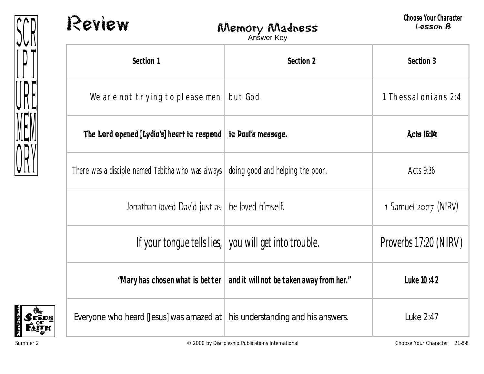

# Memory Madness Answer Key

| Section 1                                                                     | Section 2                                                                        | Section 3                  |  |
|-------------------------------------------------------------------------------|----------------------------------------------------------------------------------|----------------------------|--|
| WE ARE NOT TRYING TO PLEASE MEN                                               | <b>BUT GOD.</b>                                                                  | <b>1 THESSALONIANS 2:4</b> |  |
| The Lord opened [Lydia's] heart to respond $ $ to Paul's message.             |                                                                                  | <b>Acts 16:14</b>          |  |
| There was a disciple named Tabitha who was always                             | doing good and helping the poor.                                                 | Acts 9:36                  |  |
| Jonathan loved David just as   he loved himself.                              |                                                                                  | 1 Samuel 20:17 $(NIRV)$    |  |
|                                                                               | If your tongue tells lies, you will get into trouble.                            | Proverbs 17:20 (NIRV)      |  |
|                                                                               | "Mary has chosen what is better $\vert$ and it will not be taken away from her." | Luke 10:42                 |  |
| Everyone who heard [Jesus] was amazed at   his understanding and his answers. |                                                                                  | Luke 2:47                  |  |

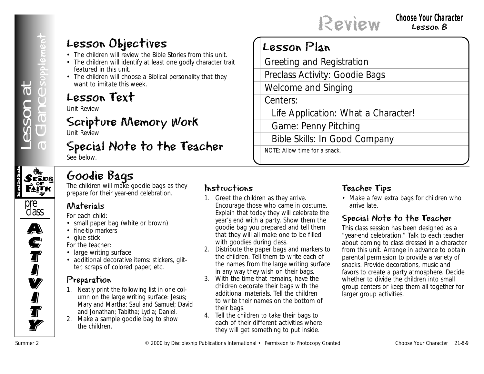Lesson Plan

Centers:

Greeting and Registration

Game: Penny Pitching

NOTE: Allow time for a snack.

Welcome and Singing

Preclass Activity: Goodie Bags

Life Application: What a Character!

Bible Skills: In Good Company

### Lesson Objectives

- The children will review the Bible Stories from this unit.
- The children will identify at least one godly character trait featured in this unit.
- The children will choose a Biblical personality that they want to imitate this week.

# Lesson Text

Unit Review

# Scripture Memory Work

Unit Review

# Special Note to the Teacher

See below.

# Goodie Bags

The children will make goodie bags as they prepare for their year-end celebration.



### Materials

*For each child:*

- small paper bag (white or brown)
- fine-tip markers
- glue stick

*For the teacher:*

- large writing surface
- additional decorative items: stickers, glitter, scraps of colored paper, etc.

### Preparation

- 1. Neatly print the following list in one column on the large writing surface: Jesus; Mary and Martha; Saul and Samuel; David and Jonathan; Tabitha; Lydia; Daniel.
- 2. Make a sample goodie bag to show the children.

### Instructions

- 1. Greet the children as they arrive. Encourage those who came in costume. Explain that today they will celebrate the year's end with a party. Show them the goodie bag you prepared and tell them that they will all make one to be filled with goodies during class.
- 2. Distribute the paper bags and markers to the children. Tell them to write each of the names from the large writing surface in any way they wish on their bags.
- 3. With the time that remains, have the children decorate their bags with the additional materials. Tell the children to write their names on the bottom of their bags.
- 4. Tell the children to take their bags to each of their different activities where they will get something to put inside.

# Teacher Tips

• Make a few extra bags for children who arrive late.

### Special Note to the Teacher

**LESSON Objectives**<br>
The content publication is one content to the content to Photocopy Granted Choose and the content of the Content of the Choose Choose Choose The Choose The Choose The Character 21-8-9 Lesson at a Glan This class session has been designed as a "year-end celebration." Talk to each teacher about coming to class dressed in a character from this unit. Arrange in advance to obtain parental permission to provide a variety of snacks. Provide decorations, music and favors to create a party atmosphere. Decide whether to divide the children into small group centers or keep them all together for larger group activities.

A)<br>C **S**<br>T I<br>I **V I J**<br>T **Ty**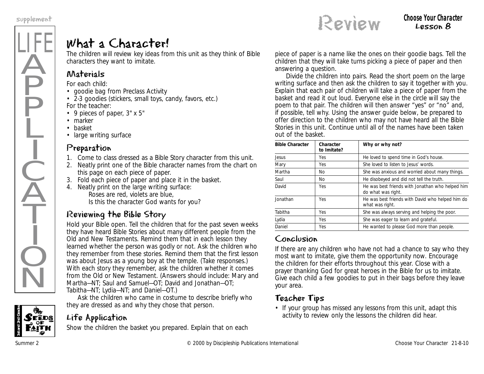

## What a Character!

The children will review key ideas from this unit as they think of Bible characters they want to imitate.

### Materials

*For each child:*

- goodie bag from Preclass Activity
- 2-3 goodies (stickers, small toys, candy, favors, etc.) *For the teacher:*
- 9 pieces of paper, 3" x 5"
- marker
- basket
- large writing surface

### Preparation

- 1. Come to class dressed as a Bible Story character from this unit.
- 2. Neatly print one of the Bible character names from the chart on this page on each piece of paper.
- 3. Fold each piece of paper and place it in the basket.
- 4. Neatly print on the large writing surface: Roses are red, violets are blue, Is this the character God wants for you?

### Reviewing the Bible Story

Hold your Bible open. Tell the children that for the past seven weeks they have heard Bible Stories about many different people from the Old and New Testaments. Remind them that in each lesson they learned whether the person was godly or not. Ask the children who they remember from these stories. Remind them that the first lesson was about Jesus as a young boy at the temple. (Take responses.) With each story they remember, ask the children whether it comes from the Old or New Testament. (Answers should include: Mary and Martha—NT; Saul and Samuel—OT; David and Jonathan—OT; Tabitha—NT; Lydia—NT; and Daniel—OT.)

Ask the children who came in costume to describe briefly who they are dressed as and why they chose that person.

### Life Application

Show the children the basket you prepared. Explain that on each

piece of paper is a name like the ones on their goodie bags. Tell the children that they will take turns picking a piece of paper and then answering a question.

Divide the children into pairs. Read the short poem on the large writing surface and then ask the children to say it together with you. Explain that each pair of children will take a piece of paper from the basket and read it out loud. Everyone else in the circle will say the poem to that pair. The children will then answer "yes" or "no" and, if possible, tell why. Using the answer guide below, be prepared to offer direction to the children who may not have heard all the Bible Stories in this unit. Continue until all of the names have been taken out of the basket.

| <b>Bible Character</b> | Character<br>to Imitate? | Why or why not?                                                        |
|------------------------|--------------------------|------------------------------------------------------------------------|
| Jesus                  | Yes                      | He loved to spend time in God's house.                                 |
| Mary                   | Yes                      | She loved to listen to Jesus' words.                                   |
| Martha                 | N <sub>O</sub>           | She was anxious and worried about many things.                         |
| Saul                   | <b>No</b>                | He disobeyed and did not tell the truth.                               |
| David                  | Yes                      | He was best friends with Jonathan who helped him<br>do what was right. |
| Jonathan               | Yes                      | He was best friends with David who helped him do<br>what was right.    |
| Tabitha                | Yes                      | She was always serving and helping the poor.                           |
| Lydia                  | Yes                      | She was eager to learn and grateful.                                   |
| Daniel                 | Yes                      | He wanted to please God more than people.                              |

#### Conclusion

If there are any children who have not had a chance to say who they most want to imitate, give them the opportunity now. Encourage the children for their efforts throughout this year. Close with a prayer thanking God for great heroes in the Bible for us to imitate. Give each child a few goodies to put in their bags before they leave your area.

### Teacher Tips

• If your group has missed any lessons from this unit, adapt this activity to review only the lessons the children did hear.



Lesson 8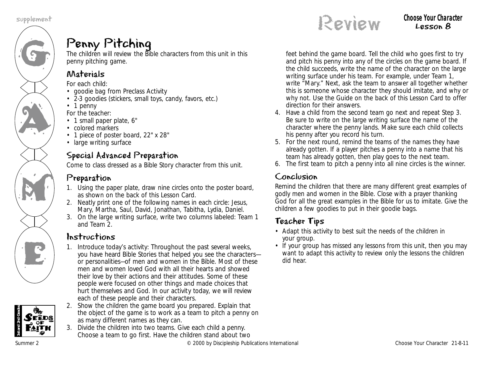

# **1st and 2nd Grades**

# Penny Pitching

The children will review the Bible characters from this unit in this penny pitching game.

#### Materials

*For each child:*

- goodie bag from Preclass Activity
- 2-3 goodies (stickers, small toys, candy, favors, etc.)
- 1 penny

*For the teacher:*

- 1 small paper plate, 6"
- colored markers
- 1 piece of poster board, 22" x 28"
- large writing surface

### Special Advanced Preparation

Come to class dressed as a Bible Story character from this unit.

### Preparation

- 1. Using the paper plate, draw nine circles onto the poster board, as shown on the back of this Lesson Card.
- 2. Neatly print one of the following names in each circle: Jesus, Mary, Martha, Saul, David, Jonathan, Tabitha, Lydia, Daniel.
- 3. On the large writing surface, write two columns labeled: Team 1 and Team 2.

### Instructions

- 1. Introduce today's activity: *Throughout the past several weeks, you have heard Bible Stories that helped you see the characters or personalities—of men and women in the Bible. Most of these men and women loved God with all their hearts and showed their love by their actions and their attitudes. Some of these people were focused on other things and made choices that hurt themselves and God. In our activity today, we will review each of these people and their characters.*
- 2. Show the children the game board you prepared. Explain that the object of the game is to work as a team to pitch a penny on as many different names as they can.
- 3. Divide the children into two teams. Give each child a penny. Choose a team to go first. Have the children stand about two

feet behind the game board. Tell the child who goes first to try and pitch his penny into any of the circles on the game board. If the child succeeds, write the name of the character on the large writing surface under his team. For example, under Team 1, write "Mary." Next, ask the team to answer all together whether this is someone whose character they should imitate, and why or why not. Use the Guide on the back of this Lesson Card to offer direction for their answers.

- 4. Have a child from the second team go next and repeat Step 3. Be sure to write on the large writing surface the name of the character where the penny lands. Make sure each child collects his penny after you record his turn.
- 5. For the next round, remind the teams of the names they have already gotten. If a player pitches a penny into a name that his team has already gotten, then play goes to the next team.
- 6. The first team to pitch a penny into all nine circles is the winner.

### Conclusion

Remind the children that there are many different great examples of godly men and women in the Bible. Close with a prayer thanking God for all the great examples in the Bible for us to imitate. Give the children a few goodies to put in their goodie bags.

### Teacher Tips

- Adapt this activity to best suit the needs of the children in your group.
- If your group has missed any lessons from this unit, then you may want to adapt this activity to review only the lessons the children did hear.

Lesson 8

Supplement **CHOOSE YOUR W** CHOOSE YOUR CHOOSE YOUR CHOOSE YOUR CHARACTER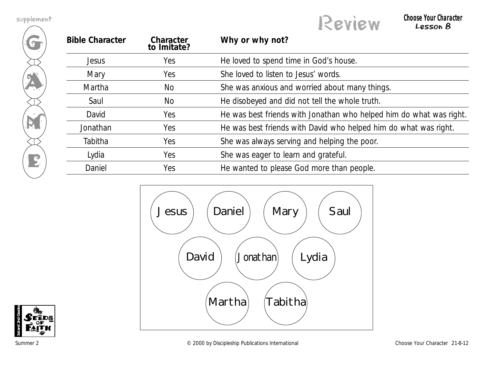

| supplement |                        |                          | <b>undose your unaracter</b><br>Review<br>Lesson 8                  |
|------------|------------------------|--------------------------|---------------------------------------------------------------------|
|            | <b>Bible Character</b> | Character<br>to Imitate? | Why or why not?                                                     |
|            | <b>Jesus</b>           | Yes                      | He loved to spend time in God's house.                              |
|            | Mary                   | Yes                      | She loved to listen to Jesus' words.                                |
|            | Martha                 | No                       | She was anxious and worried about many things.                      |
|            | Saul                   | No                       | He disobeyed and did not tell the whole truth.                      |
|            | David                  | Yes                      | He was best friends with Jonathan who helped him do what was right. |
|            | Jonathan               | Yes                      | He was best friends with David who helped him do what was right.    |
|            | Tabitha                | Yes                      | She was always serving and helping the poor.                        |
|            | Lydia                  | Yes                      | She was eager to learn and grateful.                                |
|            | Daniel                 | Yes                      | He wanted to please God more than people.                           |



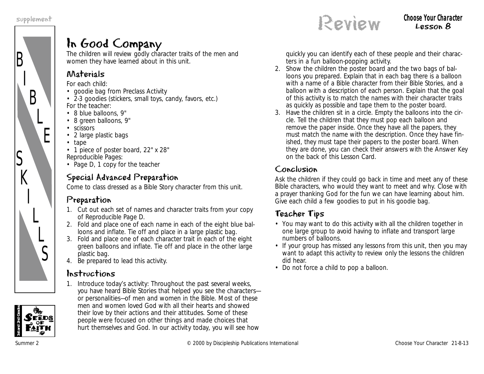

# In Good Company

The children will review godly character traits of the men and women they have learned about in this unit.

### Materials

*For each child:*

- goodie bag from Preclass Activity
- 2-3 goodies (stickers, small toys, candy, favors, etc.) *For the teacher:*
- 8 blue balloons, 9"
- 8 green balloons, 9"
- scissors
- 2 large plastic bags
- tape
- 1 piece of poster board, 22" x 28"

*Reproducible Pages:*

• Page D, 1 copy for the teacher

### Special Advanced Preparation

Come to class dressed as a Bible Story character from this unit.

### Preparation

- 1. Cut out each set of names and character traits from your copy of Reproducible Page D.
- 2. Fold and place one of each name in each of the eight blue balloons and inflate. Tie off and place in a large plastic bag.
- 3. Fold and place one of each character trait in each of the eight green balloons and inflate. Tie off and place in the other large plastic bag.
- 4. Be prepared to lead this activity.

### Instructions

1. Introduce today's activity: *Throughout the past several weeks, you have heard Bible Stories that helped you see the characters or personalities—of men and women in the Bible. Most of these men and women loved God with all their hearts and showed their love by their actions and their attitudes. Some of these people were focused on other things and made choices that hurt themselves and God. In our activity today, you will see how*

**Review** Choose Your Character<br> **Choose Your Choose Your Character** 

# Lesson 8

*quickly you can identify each of these people and their characters in a fun balloon-popping activity.* 

- 2. Show the children the poster board and the two bags of balloons you prepared. Explain that in each bag there is a balloon with a name of a Bible character from their Bible Stories, and a balloon with a description of each person. Explain that the goal of this activity is to match the names with their character traits as quickly as possible and tape them to the poster board.
- 3. Have the children sit in a circle. Empty the balloons into the circle. Tell the children that they must pop each balloon and remove the paper inside. Once they have all the papers, they must match the name with the description. Once they have finished, they must tape their papers to the poster board. When they are done, you can check their answers with the Answer Key on the back of this Lesson Card.

### Conclusion

Ask the children if they could go back in time and meet any of these Bible characters, who would they want to meet and why. Close with a prayer thanking God for the fun we can have learning about him. Give each child a few goodies to put in his goodie bag.

### Teacher Tips

- You may want to do this activity with all the children together in one large group to avoid having to inflate and transport large numbers of balloons.
- If your group has missed any lessons from this unit, then you may want to adapt this activity to review only the lessons the children did hear.
- Do not force a child to pop a balloon.

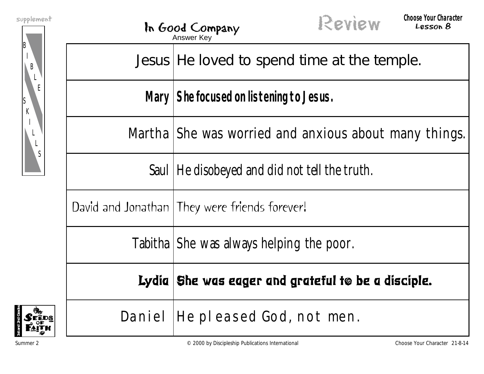

|              |       | <b>DANIEL HE PLEASED GOD, NOT MEN.</b>                |                                                 |
|--------------|-------|-------------------------------------------------------|-------------------------------------------------|
|              | Lydia | She was eager and grateful to be a disciple.          |                                                 |
|              |       | Tabitha She was always helping the poor.              |                                                 |
|              |       | David and Jonathan   They were friends forever!       |                                                 |
| ΙB<br>B<br>К |       | Saul   He disobeyed and did not tell the truth.       |                                                 |
|              |       | Martha She was worried and anxious about many things. |                                                 |
|              |       | Mary She focused on listening to Jesus.               |                                                 |
|              |       | Jesus   He loved to spend time at the temple.         |                                                 |
| supplement   |       | In Good Company                                       | <b>REVIEW</b> Choose Your Unaracter<br>Lesson 8 |

Review Commence

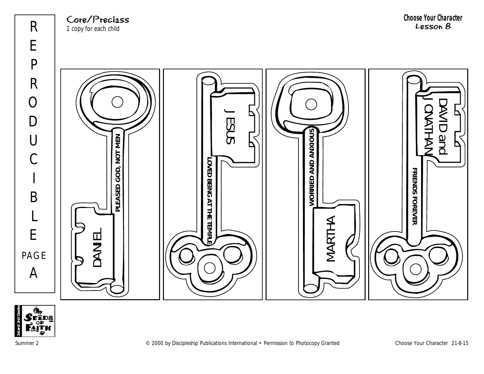| 匕                       |                      |                  |                     |                             |
|-------------------------|----------------------|------------------|---------------------|-----------------------------|
| ${\bf P}$               |                      |                  |                     |                             |
| R                       |                      |                  |                     |                             |
|                         |                      |                  |                     |                             |
| $\overline{D}$          |                      | ESUS             |                     | DAVID and<br><b>UNATHAN</b> |
| $\bigcup$               |                      |                  |                     | r                           |
| $\overline{C}$          |                      | LOVED            | WORRIED AND ANXIOUS |                             |
| $\rm I$                 |                      | BEING            |                     |                             |
| $\mathbf B$             | PLEASED GOD, NOT MEN | $\mathbf{z}$     |                     | <b>FRIENDS FOREVER</b>      |
| $\overline{\mathbf{L}}$ |                      | 붘                |                     |                             |
| E                       |                      | $\square$ TEMPLE | <b>MARTHA</b>       |                             |
| PAGE                    | <b>DANIEL</b>        |                  |                     |                             |
| $\overline{A}$          |                      |                  |                     |                             |
|                         |                      |                  |                     |                             |



R

 $\Gamma$ 

Core/Preclass 1 copy for each child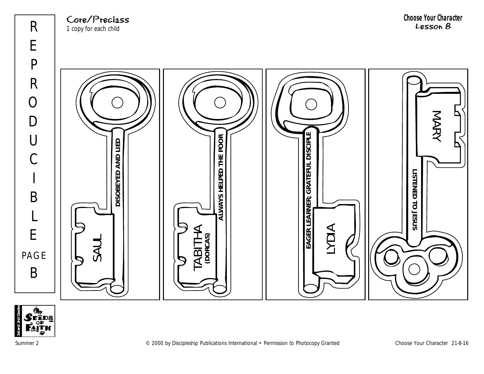



R

Core/Preclass 1 copy for each child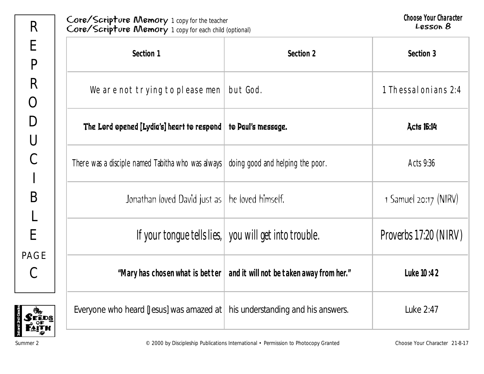| Core/Scripture Memory 1 copy for the teacher<br>Core/Scripture Memory 1 copy for each child (optional) | <b>Choose Your Character</b><br>Lesson 8              |                            |
|--------------------------------------------------------------------------------------------------------|-------------------------------------------------------|----------------------------|
| Section 1                                                                                              | Section 2                                             | Section 3                  |
| <b>WE ARE NOT TRYING TO PLEASE MEN</b>                                                                 | <b>BUT GOD.</b>                                       | <b>1 THESSALONIANS 2:4</b> |
| The Lord opened [Lydia's] heart to respond                                                             | to Paul's message.                                    | <b>Acts 16:14</b>          |
| There was a disciple named Tabitha who was always                                                      | doing good and helping the poor.                      | Acts 9:36                  |
| Jonathan loved David just as   he loved himself.                                                       |                                                       | 1 Samuel 20:17 $(NIRV)$    |
|                                                                                                        | If your tongue tells lies, you will get into trouble. | Proverbs 17:20 (NIRV)      |
| "Mary has chosen what is better $\ $                                                                   | and it will not be taken away from her."              | Luke 10:42                 |
| Everyone who heard [Jesus] was amazed at   his understanding and his answers.                          |                                                       | Luke 2:47                  |
|                                                                                                        |                                                       |                            |

**1st and 2nd Grades**

**Choose Your Character**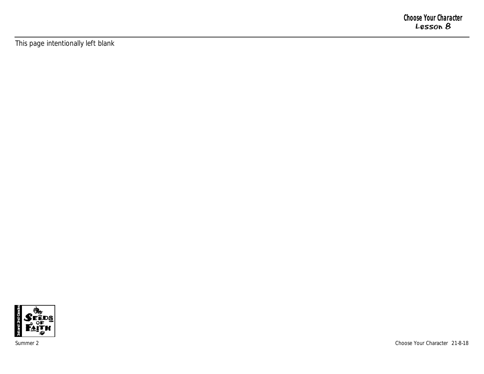This page intentionally left blank